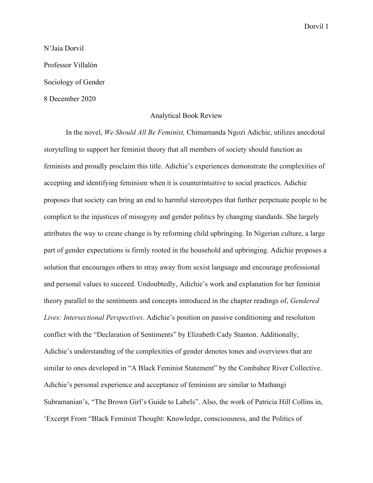N'Jaia Dorvil Professor Villalón Sociology of Gender 8 December 2020

## Analytical Book Review

In the novel, *We Should All Be Feminist,* Chimamanda Ngozi Adichie, utilizes anecdotal storytelling to support her feminist theory that all members of society should function as feminists and proudly proclaim this title. Adichie's experiences demonstrate the complexities of accepting and identifying feminism when it is counterintuitive to social practices. Adichie proposes that society can bring an end to harmful stereotypes that further perpetuate people to be complicit to the injustices of misogyny and gender politics by changing standards. She largely attributes the way to create change is by reforming child upbringing. In Nigerian culture, a large part of gender expectations is firmly rooted in the household and upbringing. Adichie proposes a solution that encourages others to stray away from sexist language and encourage professional and personal values to succeed. Undoubtedly, Adichie's work and explanation for her feminist theory parallel to the sentiments and concepts introduced in the chapter readings of, *Gendered Lives: Intersectional Perspectives*. Adichie's position on passive conditioning and resolution conflict with the "Declaration of Sentiments" by Elizabeth Cady Stanton. Additionally, Adichie's understanding of the complexities of gender denotes tones and overviews that are similar to ones developed in "A Black Feminist Statement" by the Combahee River Collective. Adichie's personal experience and acceptance of feminism are similar to Mathangi Subramanian's, "The Brown Girl's Guide to Labels". Also, the work of Patricia Hill Collins in, 'Excerpt From "Black Feminist Thought: Knowledge, consciousness, and the Politics of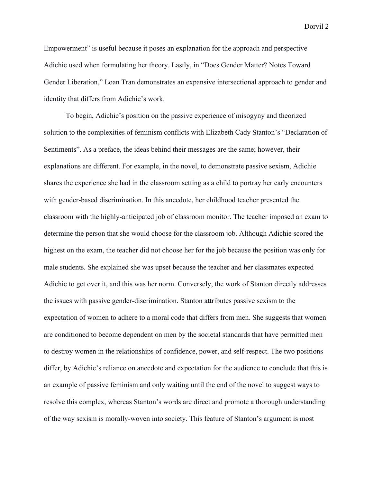Empowerment" is useful because it poses an explanation for the approach and perspective Adichie used when formulating her theory. Lastly, in "Does Gender Matter? Notes Toward Gender Liberation," Loan Tran demonstrates an expansive intersectional approach to gender and identity that differs from Adichie's work.

To begin, Adichie's position on the passive experience of misogyny and theorized solution to the complexities of feminism conflicts with Elizabeth Cady Stanton's "Declaration of Sentiments". As a preface, the ideas behind their messages are the same; however, their explanations are different. For example, in the novel, to demonstrate passive sexism, Adichie shares the experience she had in the classroom setting as a child to portray her early encounters with gender-based discrimination. In this anecdote, her childhood teacher presented the classroom with the highly-anticipated job of classroom monitor. The teacher imposed an exam to determine the person that she would choose for the classroom job. Although Adichie scored the highest on the exam, the teacher did not choose her for the job because the position was only for male students. She explained she was upset because the teacher and her classmates expected Adichie to get over it, and this was her norm. Conversely, the work of Stanton directly addresses the issues with passive gender-discrimination. Stanton attributes passive sexism to the expectation of women to adhere to a moral code that differs from men. She suggests that women are conditioned to become dependent on men by the societal standards that have permitted men to destroy women in the relationships of confidence, power, and self-respect. The two positions differ, by Adichie's reliance on anecdote and expectation for the audience to conclude that this is an example of passive feminism and only waiting until the end of the novel to suggest ways to resolve this complex, whereas Stanton's words are direct and promote a thorough understanding of the way sexism is morally-woven into society. This feature of Stanton's argument is most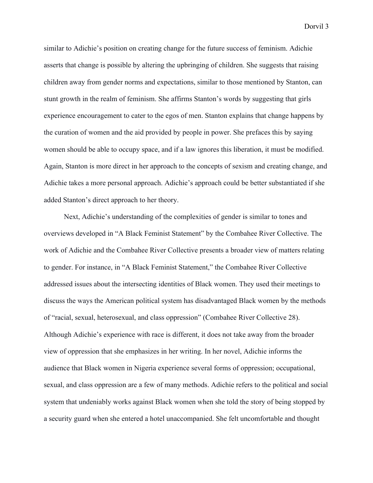similar to Adichie's position on creating change for the future success of feminism. Adichie asserts that change is possible by altering the upbringing of children. She suggests that raising children away from gender norms and expectations, similar to those mentioned by Stanton, can stunt growth in the realm of feminism. She affirms Stanton's words by suggesting that girls experience encouragement to cater to the egos of men. Stanton explains that change happens by the curation of women and the aid provided by people in power. She prefaces this by saying women should be able to occupy space, and if a law ignores this liberation, it must be modified. Again, Stanton is more direct in her approach to the concepts of sexism and creating change, and Adichie takes a more personal approach. Adichie's approach could be better substantiated if she added Stanton's direct approach to her theory.

 Next, Adichie's understanding of the complexities of gender is similar to tones and overviews developed in "A Black Feminist Statement" by the Combahee River Collective. The work of Adichie and the Combahee River Collective presents a broader view of matters relating to gender. For instance, in "A Black Feminist Statement," the Combahee River Collective addressed issues about the intersecting identities of Black women. They used their meetings to discuss the ways the American political system has disadvantaged Black women by the methods of "racial, sexual, heterosexual, and class oppression" (Combahee River Collective 28). Although Adichie's experience with race is different, it does not take away from the broader view of oppression that she emphasizes in her writing. In her novel, Adichie informs the audience that Black women in Nigeria experience several forms of oppression; occupational, sexual, and class oppression are a few of many methods. Adichie refers to the political and social system that undeniably works against Black women when she told the story of being stopped by a security guard when she entered a hotel unaccompanied. She felt uncomfortable and thought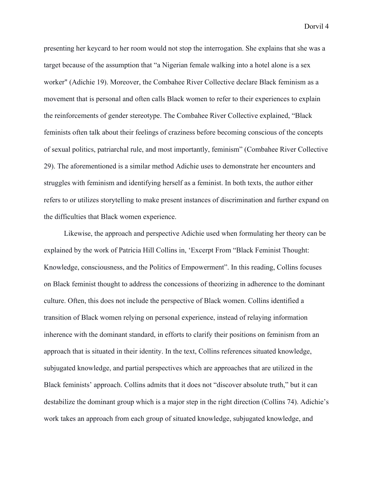presenting her keycard to her room would not stop the interrogation. She explains that she was a target because of the assumption that "a Nigerian female walking into a hotel alone is a sex worker" (Adichie 19). Moreover, the Combahee River Collective declare Black feminism as a movement that is personal and often calls Black women to refer to their experiences to explain the reinforcements of gender stereotype. The Combahee River Collective explained, "Black feminists often talk about their feelings of craziness before becoming conscious of the concepts of sexual politics, patriarchal rule, and most importantly, feminism" (Combahee River Collective 29). The aforementioned is a similar method Adichie uses to demonstrate her encounters and struggles with feminism and identifying herself as a feminist. In both texts, the author either refers to or utilizes storytelling to make present instances of discrimination and further expand on the difficulties that Black women experience.

 Likewise, the approach and perspective Adichie used when formulating her theory can be explained by the work of Patricia Hill Collins in, 'Excerpt From "Black Feminist Thought: Knowledge, consciousness, and the Politics of Empowerment". In this reading, Collins focuses on Black feminist thought to address the concessions of theorizing in adherence to the dominant culture. Often, this does not include the perspective of Black women. Collins identified a transition of Black women relying on personal experience, instead of relaying information inherence with the dominant standard, in efforts to clarify their positions on feminism from an approach that is situated in their identity. In the text, Collins references situated knowledge, subjugated knowledge, and partial perspectives which are approaches that are utilized in the Black feminists' approach. Collins admits that it does not "discover absolute truth," but it can destabilize the dominant group which is a major step in the right direction (Collins 74). Adichie's work takes an approach from each group of situated knowledge, subjugated knowledge, and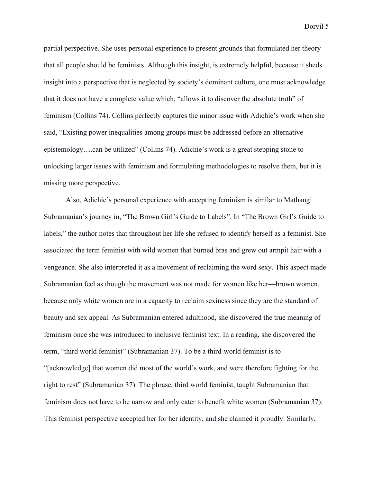partial perspective. She uses personal experience to present grounds that formulated her theory that all people should be feminists. Although this insight, is extremely helpful, because it sheds insight into a perspective that is neglected by society's dominant culture, one must acknowledge that it does not have a complete value which, "allows it to discover the absolute truth" of feminism (Collins 74). Collins perfectly captures the minor issue with Adichie's work when she said, "Existing power inequalities among groups must be addressed before an alternative epistemology….can be utilized" (Collins 74). Adichie's work is a great stepping stone to unlocking larger issues with feminism and formulating methodologies to resolve them, but it is missing more perspective.

Also, Adichie's personal experience with accepting feminism is similar to Mathangi Subramanian's journey in, "The Brown Girl's Guide to Labels". In "The Brown Girl's Guide to labels," the author notes that throughout her life she refused to identify herself as a feminist. She associated the term feminist with wild women that burned bras and grew out armpit hair with a vengeance. She also interpreted it as a movement of reclaiming the word sexy. This aspect made Subramanian feel as though the movement was not made for women like her—brown women, because only white women are in a capacity to reclaim sexiness since they are the standard of beauty and sex appeal. As Subramanian entered adulthood, she discovered the true meaning of feminism once she was introduced to inclusive feminist text. In a reading, she discovered the term, "third world feminist" (Subramanian 37). To be a third-world feminist is to "[acknowledge] that women did most of the world's work, and were therefore fighting for the right to rest" (Subramanian 37). The phrase, third world feminist, taught Subramanian that feminism does not have to be narrow and only cater to benefit white women (Subramanian 37). This feminist perspective accepted her for her identity, and she claimed it proudly. Similarly,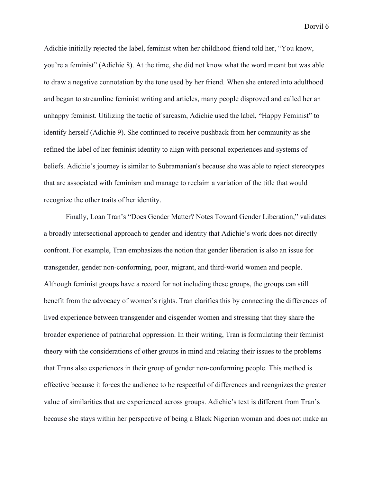Adichie initially rejected the label, feminist when her childhood friend told her, "You know, you're a feminist" (Adichie 8). At the time, she did not know what the word meant but was able to draw a negative connotation by the tone used by her friend. When she entered into adulthood and began to streamline feminist writing and articles, many people disproved and called her an unhappy feminist. Utilizing the tactic of sarcasm, Adichie used the label, "Happy Feminist" to identify herself (Adichie 9). She continued to receive pushback from her community as she refined the label of her feminist identity to align with personal experiences and systems of beliefs. Adichie's journey is similar to Subramanian's because she was able to reject stereotypes that are associated with feminism and manage to reclaim a variation of the title that would recognize the other traits of her identity.

Finally, Loan Tran's "Does Gender Matter? Notes Toward Gender Liberation," validates a broadly intersectional approach to gender and identity that Adichie's work does not directly confront. For example, Tran emphasizes the notion that gender liberation is also an issue for transgender, gender non-conforming, poor, migrant, and third-world women and people. Although feminist groups have a record for not including these groups, the groups can still benefit from the advocacy of women's rights. Tran clarifies this by connecting the differences of lived experience between transgender and cisgender women and stressing that they share the broader experience of patriarchal oppression. In their writing, Tran is formulating their feminist theory with the considerations of other groups in mind and relating their issues to the problems that Trans also experiences in their group of gender non-conforming people. This method is effective because it forces the audience to be respectful of differences and recognizes the greater value of similarities that are experienced across groups. Adichie's text is different from Tran's because she stays within her perspective of being a Black Nigerian woman and does not make an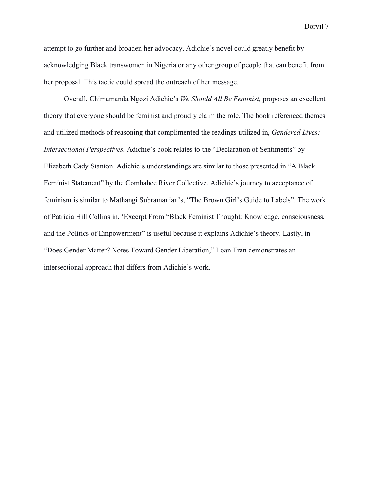attempt to go further and broaden her advocacy. Adichie's novel could greatly benefit by acknowledging Black transwomen in Nigeria or any other group of people that can benefit from her proposal. This tactic could spread the outreach of her message.

 Overall, Chimamanda Ngozi Adichie's *We Should All Be Feminist,* proposes an excellent theory that everyone should be feminist and proudly claim the role. The book referenced themes and utilized methods of reasoning that complimented the readings utilized in, *Gendered Lives: Intersectional Perspectives*. Adichie's book relates to the "Declaration of Sentiments" by Elizabeth Cady Stanton. Adichie's understandings are similar to those presented in "A Black Feminist Statement" by the Combahee River Collective. Adichie's journey to acceptance of feminism is similar to Mathangi Subramanian's, "The Brown Girl's Guide to Labels". The work of Patricia Hill Collins in, 'Excerpt From "Black Feminist Thought: Knowledge, consciousness, and the Politics of Empowerment" is useful because it explains Adichie's theory. Lastly, in "Does Gender Matter? Notes Toward Gender Liberation," Loan Tran demonstrates an intersectional approach that differs from Adichie's work.